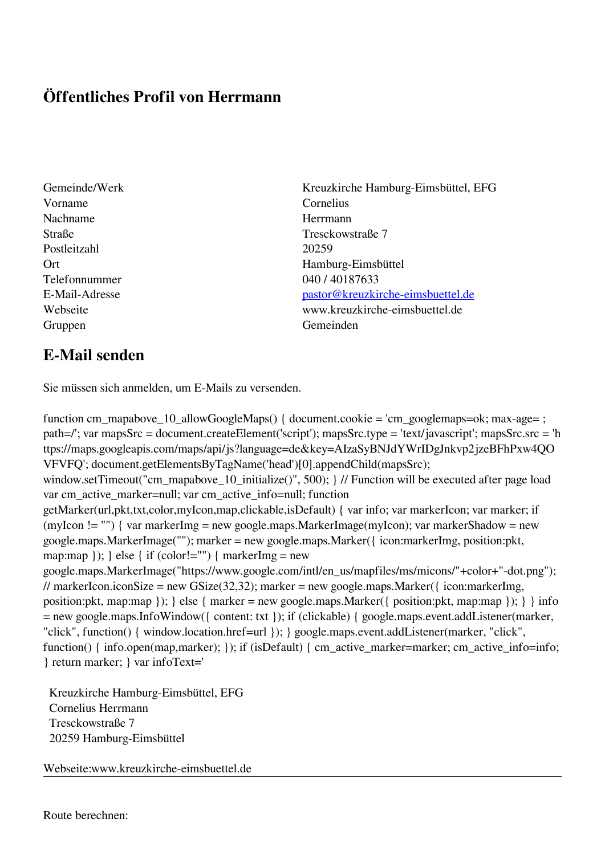## **Öffentliches Profil von Herrmann**

- Vorname Cornelius Nachname Herrmann Postleitzahl 20259 Telefonnummer 040 / 40187633 Gruppen Gemeinden Gemeinden Gemeinden Gemeinden Gemeinden Gemeinden Gemeinden Gemeinden Gemeinden Gemeinden G
- Gemeinde/Werk Kreuzkirche Hamburg-Eimsbüttel, EFG Straße Tresckowstraße 7 Ort Hamburg-Eimsbüttel E-Mail-Adresse [pastor@kreuzkirche-eimsbuettel.de](mailto:pastor@kreuzkirche-eimsbuettel.de) Webseite www.kreuzkirche-eimsbuettel.de

## **E-Mail senden**

Sie müssen sich anmelden, um E-Mails zu versenden.

function cm\_mapabove\_10\_allowGoogleMaps() { document.cookie = 'cm\_googlemaps=ok; max-age= ; path=/'; var mapsSrc = document.createElement('script'); mapsSrc.type = 'text/javascript'; mapsSrc.src = 'h ttps://maps.googleapis.com/maps/api/js?language=de&key=AIzaSyBNJdYWrIDgJnkvp2jzeBFhPxw4QO VFVFQ'; document.getElementsByTagName('head')[0].appendChild(mapsSrc); window.setTimeout("cm\_mapabove\_10\_initialize()", 500); } // Function will be executed after page load var cm\_active\_marker=null; var cm\_active\_info=null; function getMarker(url,pkt,txt,color,myIcon,map,clickable,isDefault) { var info; var markerIcon; var marker; if (myIcon != "") { var markerImg = new google.maps.MarkerImage(myIcon); var markerShadow = new google.maps.MarkerImage(""); marker = new google.maps.Marker({ icon:markerImg, position:pkt, map:map  $\}$ ;  $\}$  else  $\{$  if (color!="")  $\{$  markerImg = new google.maps.MarkerImage("https://www.google.com/intl/en\_us/mapfiles/ms/micons/"+color+"-dot.png"); // markerIcon.iconSize = new GSize(32,32); marker = new google.maps.Marker({ $i$ con:markerImg, position:pkt, map:map }); } else { marker = new google.maps.Marker({ position:pkt, map:map }); } } info = new google.maps.InfoWindow({ content: txt }); if (clickable) { google.maps.event.addListener(marker, "click", function() { window.location.href=url }); } google.maps.event.addListener(marker, "click", function() { info.open(map,marker); }); if (isDefault) { cm\_active\_marker=marker; cm\_active\_info=info; } return marker; } var infoText='

 Kreuzkirche Hamburg-Eimsbüttel, EFG Cornelius Herrmann Tresckowstraße 7 20259 Hamburg-Eimsbüttel

Webseite:www.kreuzkirche-eimsbuettel.de